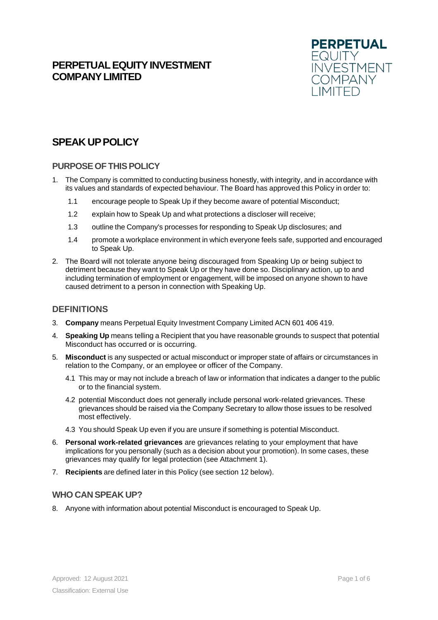## **PERPETUAL EQUITY INVESTMENT COMPANYLIMITED**



# **SPEAK UPPOLICY**

#### **PURPOSEOF THISPOLICY**

- 1. The Company is committed to conducting business honestly, with integrity, and in accordance with its values and standards of expected behaviour. The Board has approved this Policy in order to:
	- 1.1 encourage people to Speak Up if they become aware of potential Misconduct;
	- 1.2 explain how to Speak Up and what protections a discloser will receive;
	- 1.3 outline the Company's processes for responding to Speak Up disclosures; and
	- 1.4 promote a workplace environment in which everyone feels safe, supported and encouraged to Speak Up.
- 2. The Board will not tolerate anyone being discouraged from Speaking Up or being subject to detriment because they want to Speak Up or they have done so. Disciplinary action, up to and including termination of employment or engagement, will be imposed on anyone shown to have caused detriment to a person in connection with Speaking Up.

#### **DEFINITIONS**

- 3. **Company** means Perpetual Equity Investment Company Limited ACN 601 406 419.
- 4. **Speaking Up** means telling a Recipient that you have reasonable grounds to suspect that potential Misconduct has occurred or is occurring.
- 5. **Misconduct** is any suspected or actual misconduct or improper state of affairs or circumstances in relation to the Company, or an employee or officer of the Company.
	- 4.1 This may or may not include a breach of law or information that indicates a danger to the public or to the financial system.
	- 4.2 potential Misconduct does not generally include personal work-related grievances. These grievances should be raised via the Company Secretary to allow those issues to be resolved most effectively.
	- 4.3 You should Speak Up even if you are unsure if something is potential Misconduct.
- 6. **Personal work-related grievances** are grievances relating to your employment that have implications for you personally (such as a decision about your promotion). In some cases, these grievances may qualify for legal protection (see Attachment 1).
- 7. **Recipients** are defined later in this Policy (see section 12 below).

#### **WHO CAN SPEAK UP?**

8. Anyone with information about potential Misconduct is encouraged to Speak Up.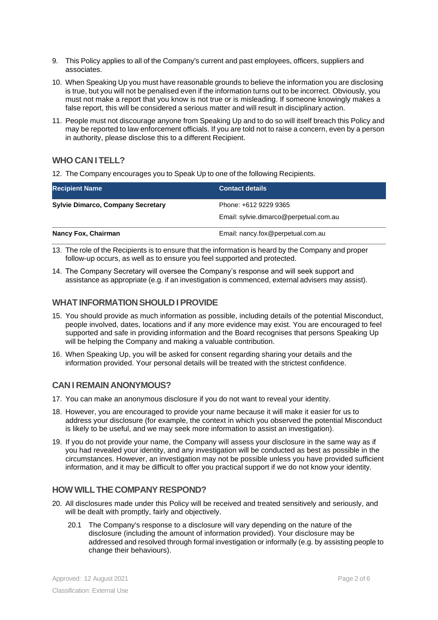- 9. This Policy applies to all of the Company's current and past employees, officers, suppliers and associates.
- 10. When Speaking Up you must have reasonable grounds to believe the information you are disclosing is true, but you will not be penalised even if the information turns out to be incorrect. Obviously, you must not make a report that you know is not true or is misleading. If someone knowingly makes a false report, this will be considered a serious matter and will result in disciplinary action.
- 11. People must not discourage anyone from Speaking Up and to do so will itself breach this Policy and may be reported to law enforcement officials. If you are told not to raise a concern, even by a person in authority, please disclose this to a different Recipient.

## **WHO CAN I TELL?**

12. The Company encourages you to Speak Up to one of the following Recipients.

| <b>Recipient Name</b>                    | <b>Contact details</b>                 |  |
|------------------------------------------|----------------------------------------|--|
| <b>Sylvie Dimarco, Company Secretary</b> | Phone: +612 9229 9365                  |  |
|                                          | Email: sylvie.dimarco@perpetual.com.au |  |
| <b>Nancy Fox, Chairman</b>               | Email: nancy.fox@perpetual.com.au      |  |

- 13. The role of the Recipients is to ensure that the information is heard by the Company and proper follow-up occurs, as well as to ensure you feel supported and protected.
- 14. The Company Secretary will oversee the Company's response and will seek support and assistance as appropriate (e.g. if an investigation is commenced, external advisers may assist).

#### **WHAT INFORMATION SHOULD I PROVIDE**

- 15. You should provide as much information as possible, including details of the potential Misconduct, people involved, dates, locations and if any more evidence may exist. You are encouraged to feel supported and safe in providing information and the Board recognises that persons Speaking Up will be helping the Company and making a valuable contribution.
- 16. When Speaking Up, you will be asked for consent regarding sharing your details and the information provided. Your personal details will be treated with the strictest confidence.

## **CAN I REMAIN ANONYMOUS?**

- 17. You can make an anonymous disclosure if you do not want to reveal your identity.
- 18. However, you are encouraged to provide your name because it will make it easier for us to address your disclosure (for example, the context in which you observed the potential Misconduct is likely to be useful, and we may seek more information to assist an investigation).
- 19. If you do not provide your name, the Company will assess your disclosure in the same way as if you had revealed your identity, and any investigation will be conducted as best as possible in the circumstances. However, an investigation may not be possible unless you have provided sufficient information, and it may be difficult to offer you practical support if we do not know your identity.

## **HOWWILLTHE COMPANY RESPOND?**

- 20. All disclosures made under this Policy will be received and treated sensitively and seriously, and will be dealt with promptly, fairly and objectively.
	- 20.1 The Company's response to a disclosure will vary depending on the nature of the disclosure (including the amount of information provided). Your disclosure may be addressed and resolved through formal investigation or informally (e.g. by assisting people to change their behaviours).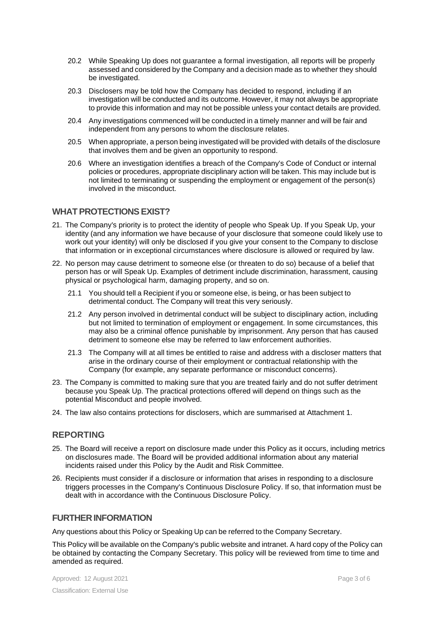- 20.2 While Speaking Up does not guarantee a formal investigation, all reports will be properly assessed and considered by the Company and a decision made as to whether they should be investigated.
- 20.3 Disclosers may be told how the Company has decided to respond, including if an investigation will be conducted and its outcome. However, it may not always be appropriate to provide this information and may not be possible unless your contact details are provided.
- 20.4 Any investigations commenced will be conducted in a timely manner and will be fair and independent from any persons to whom the disclosure relates.
- 20.5 When appropriate, a person being investigated will be provided with details of the disclosure that involves them and be given an opportunity to respond.
- 20.6 Where an investigation identifies a breach of the Company's Code of Conduct or internal policies or procedures, appropriate disciplinary action will be taken. This may include but is not limited to terminating or suspending the employment or engagement of the person(s) involved in the misconduct.

#### **WHAT PROTECTIONSEXIST?**

- 21. The Company's priority is to protect the identity of people who Speak Up. If you Speak Up, your identity (and any information we have because of your disclosure that someone could likely use to work out your identity) will only be disclosed if you give your consent to the Company to disclose that information or in exceptional circumstances where disclosure is allowed or required by law.
- 22. No person may cause detriment to someone else (or threaten to do so) because of a belief that person has or will Speak Up. Examples of detriment include discrimination, harassment, causing physical or psychological harm, damaging property, and so on.
	- 21.1 You should tell a Recipient if you or someone else, is being, or has been subject to detrimental conduct. The Company will treat this very seriously.
	- 21.2 Any person involved in detrimental conduct will be subject to disciplinary action, including but not limited to termination of employment or engagement. In some circumstances, this may also be a criminal offence punishable by imprisonment. Any person that has caused detriment to someone else may be referred to law enforcement authorities.
	- 21.3 The Company will at all times be entitled to raise and address with a discloser matters that arise in the ordinary course of their employment or contractual relationship with the Company (for example, any separate performance or misconduct concerns).
- 23. The Company is committed to making sure that you are treated fairly and do not suffer detriment because you Speak Up. The practical protections offered will depend on things such as the potential Misconduct and people involved.
- 24. The law also contains protections for disclosers, which are summarised at Attachment 1.

#### **REPORTING**

- 25. The Board will receive a report on disclosure made under this Policy as it occurs, including metrics on disclosures made. The Board will be provided additional information about any material incidents raised under this Policy by the Audit and Risk Committee.
- 26. Recipients must consider if a disclosure or information that arises in responding to a disclosure triggers processes in the Company's Continuous Disclosure Policy. If so, that information must be dealt with in accordance with the Continuous Disclosure Policy.

#### **FURTHER INFORMATION**

Any questions about this Policy or Speaking Up can be referred to the Company Secretary.

This Policy will be available on the Company's public website and intranet. A hard copy of the Policy can be obtained by contacting the Company Secretary. This policy will be reviewed from time to time and amended as required.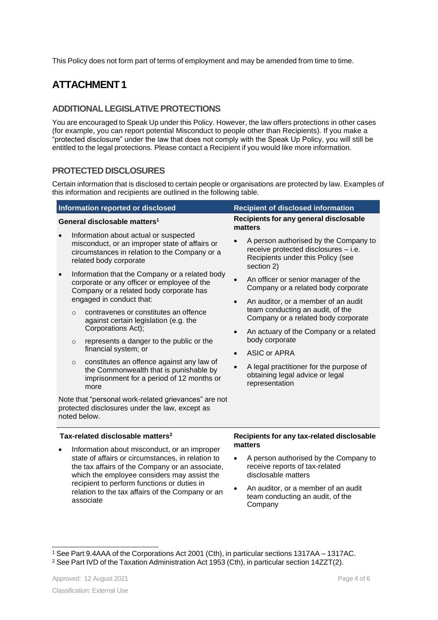This Policy does not form part of terms of employment and may be amended from time to time.

# **ATTACHMENT1**

## **ADDITIONAL LEGISLATIVE PROTECTIONS**

You are encouraged to Speak Up under this Policy. However, the law offers protections in other cases (for example, you can report potential Misconduct to people other than Recipients). If you make a "protected disclosure" under the law that does not comply with the Speak Up Policy, you will still be entitled to the legal protections. Please contact a Recipient if you would like more information.

## **PROTECTED DISCLOSURES**

Certain information that is disclosed to certain people or organisations are protected by law. Examples of this information and recipients are outlined in the following table.

| Information reported or disclosed                                                                                                                                                                   | <b>Recipient of disclosed information</b>                                                                                                                                          |
|-----------------------------------------------------------------------------------------------------------------------------------------------------------------------------------------------------|------------------------------------------------------------------------------------------------------------------------------------------------------------------------------------|
| General disclosable matters <sup>1</sup>                                                                                                                                                            | Recipients for any general disclosable<br>matters                                                                                                                                  |
| Information about actual or suspected<br>misconduct, or an improper state of affairs or<br>circumstances in relation to the Company or a<br>related body corporate                                  | A person authorised by the Company to<br>receive protected disclosures - i.e.<br>Recipients under this Policy (see<br>section 2)                                                   |
| Information that the Company or a related body<br>corporate or any officer or employee of the<br>Company or a related body corporate has                                                            | An officer or senior manager of the<br>Company or a related body corporate                                                                                                         |
| engaged in conduct that:<br>contravenes or constitutes an offence<br>$\circ$<br>against certain legislation (e.g. the<br>Corporations Act);                                                         | An auditor, or a member of an audit<br>$\bullet$<br>team conducting an audit, of the<br>Company or a related body corporate<br>An actuary of the Company or a related<br>$\bullet$ |
| represents a danger to the public or the<br>$\circ$<br>financial system; or                                                                                                                         | body corporate<br><b>ASIC or APRA</b><br>$\bullet$                                                                                                                                 |
| constitutes an offence against any law of<br>$\circ$<br>the Commonwealth that is punishable by<br>imprisonment for a period of 12 months or<br>more                                                 | A legal practitioner for the purpose of<br>$\bullet$<br>obtaining legal advice or legal<br>representation                                                                          |
| Note that "personal work-related grievances" are not<br>protected disclosures under the law, except as<br>noted below.                                                                              |                                                                                                                                                                                    |
| Tax-related disclosable matters <sup>2</sup><br>Recipients for any tax-related disclosable<br>matters                                                                                               |                                                                                                                                                                                    |
| Information about misconduct, or an improper<br>state of affairs or circumstances, in relation to<br>the tax affairs of the Company or an associate,<br>which the employee considers may assist the | A person authorised by the Company to<br>$\bullet$<br>receive reports of tax-related<br>disclosable matters                                                                        |
| recipient to perform functions or duties in<br>relation to the tax affairs of the Company or an                                                                                                     | An auditor, or a member of an audit                                                                                                                                                |

• An auditor, or a member of an audit team conducting an audit, of the Company

associate

<sup>1</sup> See Part 9.4AAA of the Corporations Act 2001 (Cth), in particular sections 1317AA – 1317AC.

<sup>&</sup>lt;sup>2</sup> See Part IVD of the Taxation Administration Act 1953 (Cth), in particular section 14ZZT(2).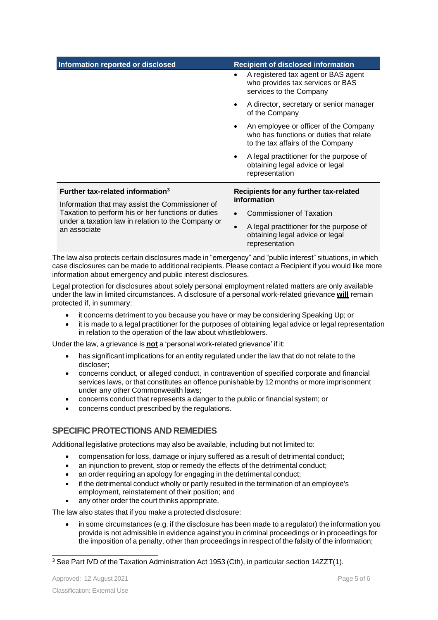| Information reported or disclosed                                                                                                                                           | <b>Recipient of disclosed information</b>                                                                             |  |
|-----------------------------------------------------------------------------------------------------------------------------------------------------------------------------|-----------------------------------------------------------------------------------------------------------------------|--|
|                                                                                                                                                                             | A registered tax agent or BAS agent<br>who provides tax services or BAS<br>services to the Company                    |  |
|                                                                                                                                                                             | A director, secretary or senior manager<br>٠<br>of the Company                                                        |  |
|                                                                                                                                                                             | An employee or officer of the Company<br>who has functions or duties that relate<br>to the tax affairs of the Company |  |
|                                                                                                                                                                             | A legal practitioner for the purpose of<br>obtaining legal advice or legal<br>representation                          |  |
| Further tax-related information <sup>3</sup>                                                                                                                                | Recipients for any further tax-related                                                                                |  |
| Information that may assist the Commissioner of<br>Taxation to perform his or her functions or duties<br>under a taxation law in relation to the Company or<br>an associate | information                                                                                                           |  |
|                                                                                                                                                                             | <b>Commissioner of Taxation</b>                                                                                       |  |
|                                                                                                                                                                             | A legal practitioner for the purpose of<br>$\bullet$<br>obtaining legal advice or legal<br>representation             |  |

The law also protects certain disclosures made in "emergency" and "public interest" situations, in which case disclosures can be made to additional recipients. Please contact a Recipient if you would like more information about emergency and public interest disclosures.

Legal protection for disclosures about solely personal employment related matters are only available under the law in limited circumstances. A disclosure of a personal work-related grievance **will** remain protected if, in summary:

- it concerns detriment to you because you have or may be considering Speaking Up; or
- it is made to a legal practitioner for the purposes of obtaining legal advice or legal representation in relation to the operation of the law about whistleblowers.

Under the law, a grievance is **not** a 'personal work-related grievance' if it:

- has significant implications for an entity regulated under the law that do not relate to the discloser;
- concerns conduct, or alleged conduct, in contravention of specified corporate and financial services laws, or that constitutes an offence punishable by 12 months or more imprisonment under any other Commonwealth laws;
- concerns conduct that represents a danger to the public or financial system; or
- concerns conduct prescribed by the regulations.

#### **SPECIFICPROTECTIONS AND REMEDIES**

Additional legislative protections may also be available, including but not limited to:

- compensation for loss, damage or injury suffered as a result of detrimental conduct;
- an injunction to prevent, stop or remedy the effects of the detrimental conduct;
- an order requiring an apology for engaging in the detrimental conduct;
- if the detrimental conduct wholly or partly resulted in the termination of an employee's employment, reinstatement of their position; and
- any other order the court thinks appropriate.

The law also states that if you make a protected disclosure:

• in some circumstances (e.g. if the disclosure has been made to a regulator) the information you provide is not admissible in evidence against you in criminal proceedings or in proceedings for the imposition of a penalty, other than proceedings in respect of the falsity of the information;

<sup>3</sup> See Part IVD of the Taxation Administration Act 1953 (Cth), in particular section 14ZZT(1).